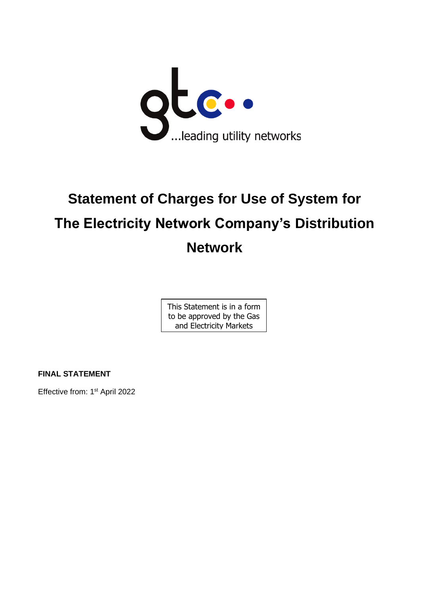

# **Statement of Charges for Use of System for The Electricity Network Company's Distribution Network**

This Statement is in a form to be approved by the Gas and Electricity Markets

Authority

**FINAL STATEMENT**

Effective from: 1<sup>st</sup> April 2022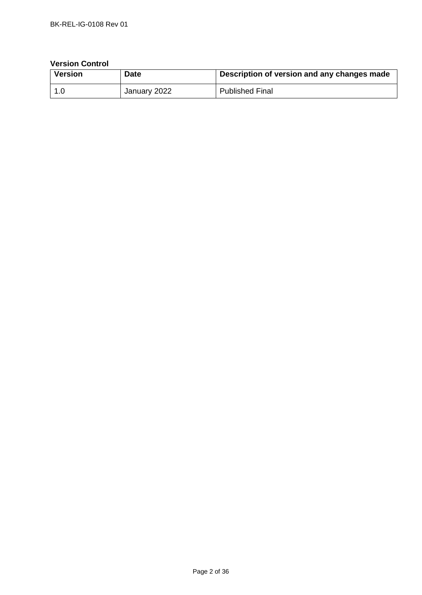## **Version Control**

| Version | <b>Date</b>  | Description of version and any changes made |
|---------|--------------|---------------------------------------------|
| l 1.0   | January 2022 | <b>Published Final</b>                      |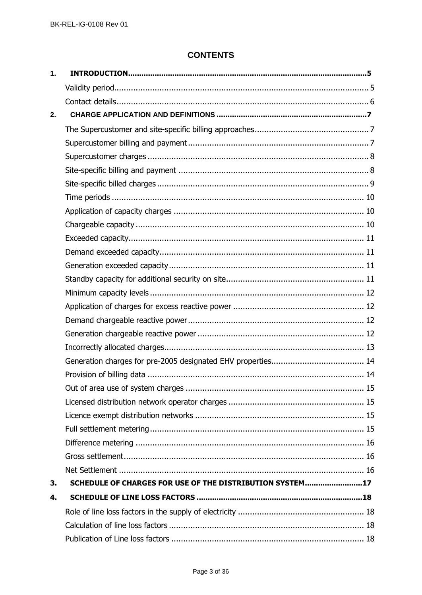# **CONTENTS**

| $\mathbf{1}$ . |                                                          |  |
|----------------|----------------------------------------------------------|--|
|                |                                                          |  |
|                |                                                          |  |
| 2.             |                                                          |  |
|                |                                                          |  |
|                |                                                          |  |
|                |                                                          |  |
|                |                                                          |  |
|                |                                                          |  |
|                |                                                          |  |
|                |                                                          |  |
|                |                                                          |  |
|                |                                                          |  |
|                |                                                          |  |
|                |                                                          |  |
|                |                                                          |  |
|                |                                                          |  |
|                |                                                          |  |
|                |                                                          |  |
|                |                                                          |  |
|                |                                                          |  |
|                |                                                          |  |
|                |                                                          |  |
|                |                                                          |  |
|                |                                                          |  |
|                |                                                          |  |
|                |                                                          |  |
|                |                                                          |  |
|                |                                                          |  |
|                |                                                          |  |
| 3.             | SCHEDULE OF CHARGES FOR USE OF THE DISTRIBUTION SYSTEM17 |  |
| 4.             |                                                          |  |
|                |                                                          |  |
|                |                                                          |  |
|                |                                                          |  |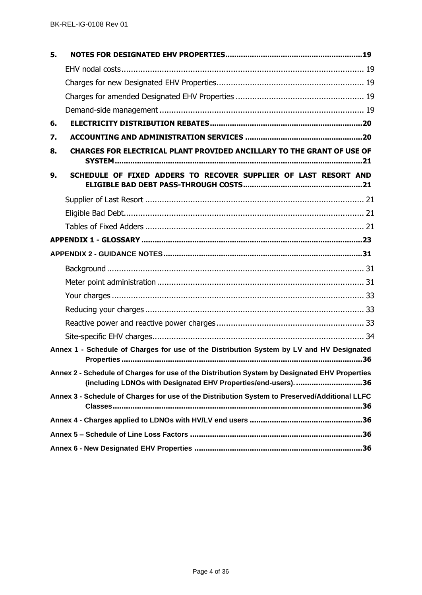| 5. |                                                                                                                                                                 |
|----|-----------------------------------------------------------------------------------------------------------------------------------------------------------------|
|    |                                                                                                                                                                 |
|    |                                                                                                                                                                 |
|    |                                                                                                                                                                 |
|    |                                                                                                                                                                 |
| 6. |                                                                                                                                                                 |
| 7. |                                                                                                                                                                 |
| 8. | CHARGES FOR ELECTRICAL PLANT PROVIDED ANCILLARY TO THE GRANT OF USE OF                                                                                          |
| 9. | SCHEDULE OF FIXED ADDERS TO RECOVER SUPPLIER OF LAST RESORT AND                                                                                                 |
|    |                                                                                                                                                                 |
|    |                                                                                                                                                                 |
|    |                                                                                                                                                                 |
|    |                                                                                                                                                                 |
|    |                                                                                                                                                                 |
|    |                                                                                                                                                                 |
|    |                                                                                                                                                                 |
|    |                                                                                                                                                                 |
|    |                                                                                                                                                                 |
|    |                                                                                                                                                                 |
|    |                                                                                                                                                                 |
|    | Annex 1 - Schedule of Charges for use of the Distribution System by LV and HV Designated                                                                        |
|    | Annex 2 - Schedule of Charges for use of the Distribution System by Designated EHV Properties<br>(including LDNOs with Designated EHV Properties/end-users). 36 |
|    | Annex 3 - Schedule of Charges for use of the Distribution System to Preserved/Additional LLFC                                                                   |
|    |                                                                                                                                                                 |
|    |                                                                                                                                                                 |
|    |                                                                                                                                                                 |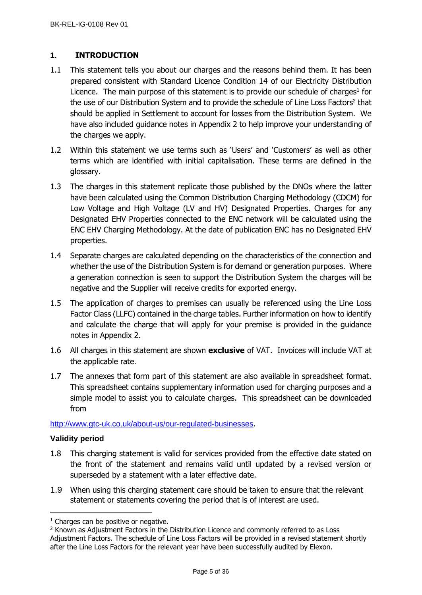# <span id="page-4-0"></span>**1. INTRODUCTION**

- 1.1 This statement tells you about our charges and the reasons behind them. It has been prepared consistent with Standard Licence Condition 14 of our Electricity Distribution Licence. The main purpose of this statement is to provide our schedule of charges<sup>1</sup> for the use of our Distribution System and to provide the schedule of Line Loss Factors<sup>2</sup> that should be applied in Settlement to account for losses from the Distribution System. We have also included guidance notes in Appendix 2 to help improve your understanding of the charges we apply.
- 1.2 Within this statement we use terms such as 'Users' and 'Customers' as well as other terms which are identified with initial capitalisation. These terms are defined in the glossary.
- 1.3 The charges in this statement replicate those published by the DNOs where the latter have been calculated using the Common Distribution Charging Methodology (CDCM) for Low Voltage and High Voltage (LV and HV) Designated Properties. Charges for any Designated EHV Properties connected to the ENC network will be calculated using the ENC EHV Charging Methodology. At the date of publication ENC has no Designated EHV properties.
- 1.4 Separate charges are calculated depending on the characteristics of the connection and whether the use of the Distribution System is for demand or generation purposes. Where a generation connection is seen to support the Distribution System the charges will be negative and the Supplier will receive credits for exported energy.
- 1.5 The application of charges to premises can usually be referenced using the Line Loss Factor Class (LLFC) contained in the charge tables. Further information on how to identify and calculate the charge that will apply for your premise is provided in the guidance notes in Appendix 2.
- 1.6 All charges in this statement are shown **exclusive** of VAT. Invoices will include VAT at the applicable rate.
- 1.7 The annexes that form part of this statement are also available in spreadsheet format. This spreadsheet contains supplementary information used for charging purposes and a simple model to assist you to calculate charges. This spreadsheet can be downloaded from

<http://www.gtc-uk.co.uk/about-us/our-regulated-businesses>.

## <span id="page-4-1"></span>**Validity period**

- 1.8 This charging statement is valid for services provided from the effective date stated on the front of the statement and remains valid until updated by a revised version or superseded by a statement with a later effective date.
- 1.9 When using this charging statement care should be taken to ensure that the relevant statement or statements covering the period that is of interest are used.

<sup>&</sup>lt;sup>1</sup> Charges can be positive or negative.

<sup>&</sup>lt;sup>2</sup> Known as Adjustment Factors in the Distribution Licence and commonly referred to as Loss Adjustment Factors. The schedule of Line Loss Factors will be provided in a revised statement shortly after the Line Loss Factors for the relevant year have been successfully audited by Elexon.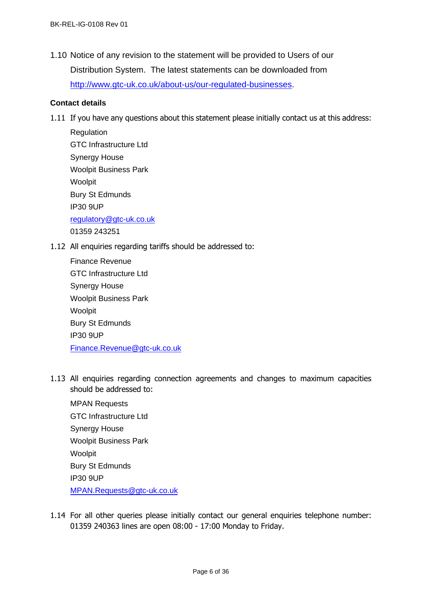1.10 Notice of any revision to the statement will be provided to Users of our Distribution System. The latest statements can be downloaded from [http://www.gtc-uk.co.uk/about-us/our-regulated-businesses.](http://www.gtc-uk.co.uk/about-us/our-regulated-businesses)

## <span id="page-5-0"></span>**Contact details**

1.11 If you have any questions about this statement please initially contact us at this address:

**Regulation** GTC Infrastructure Ltd Synergy House Woolpit Business Park Woolpit Bury St Edmunds IP30 9UP [regulatory@gtc-uk.co.uk](mailto:regulatory@gtc-uk.co.uk) 01359 243251

1.12 All enquiries regarding tariffs should be addressed to:

| Finance Revenue               |
|-------------------------------|
| <b>GTC</b> Infrastructure Ltd |
| <b>Synergy House</b>          |
| <b>Woolpit Business Park</b>  |
| Woolpit                       |
| <b>Bury St Edmunds</b>        |
| <b>IP30 9UP</b>               |
| Finance.Revenue@gtc-uk.co.uk  |

1.13 All enquiries regarding connection agreements and changes to maximum capacities should be addressed to:

MPAN Requests GTC Infrastructure Ltd Synergy House Woolpit Business Park Woolpit Bury St Edmunds IP30 9UP [MPAN.Requests@gtc-uk.co.uk](file:///C:/Users/neil.brinkley/AppData/Local/Microsoft/Windows/INetCache/Content.Outlook/G1I01KIK/MPAN.Requests@gtc-uk.co.uk)

1.14 For all other queries please initially contact our general enquiries telephone number: 01359 240363 lines are open 08:00 - 17:00 Monday to Friday.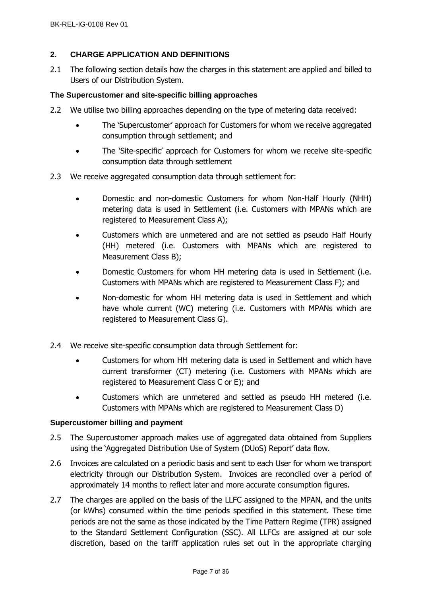## <span id="page-6-0"></span>**2. CHARGE APPLICATION AND DEFINITIONS**

2.1 The following section details how the charges in this statement are applied and billed to Users of our Distribution System.

## <span id="page-6-1"></span>**The Supercustomer and site-specific billing approaches**

- 2.2 We utilise two billing approaches depending on the type of metering data received:
	- The 'Supercustomer' approach for Customers for whom we receive aggregated consumption through settlement; and
	- The 'Site-specific' approach for Customers for whom we receive site-specific consumption data through settlement
- 2.3 We receive aggregated consumption data through settlement for:
	- Domestic and non-domestic Customers for whom Non-Half Hourly (NHH) metering data is used in Settlement (i.e. Customers with MPANs which are registered to Measurement Class A);
	- Customers which are unmetered and are not settled as pseudo Half Hourly (HH) metered (i.e. Customers with MPANs which are registered to Measurement Class B);
	- Domestic Customers for whom HH metering data is used in Settlement (i.e. Customers with MPANs which are registered to Measurement Class F); and
	- Non-domestic for whom HH metering data is used in Settlement and which have whole current (WC) metering (i.e. Customers with MPANs which are registered to Measurement Class G).
- 2.4 We receive site-specific consumption data through Settlement for:
	- Customers for whom HH metering data is used in Settlement and which have current transformer (CT) metering (i.e. Customers with MPANs which are registered to Measurement Class C or E); and
	- Customers which are unmetered and settled as pseudo HH metered (i.e. Customers with MPANs which are registered to Measurement Class D)

### <span id="page-6-2"></span>**Supercustomer billing and payment**

- 2.5 The Supercustomer approach makes use of aggregated data obtained from Suppliers using the 'Aggregated Distribution Use of System (DUoS) Report' data flow.
- 2.6 Invoices are calculated on a periodic basis and sent to each User for whom we transport electricity through our Distribution System. Invoices are reconciled over a period of approximately 14 months to reflect later and more accurate consumption figures.
- 2.7 The charges are applied on the basis of the LLFC assigned to the MPAN, and the units (or kWhs) consumed within the time periods specified in this statement. These time periods are not the same as those indicated by the Time Pattern Regime (TPR) assigned to the Standard Settlement Configuration (SSC). All LLFCs are assigned at our sole discretion, based on the tariff application rules set out in the appropriate charging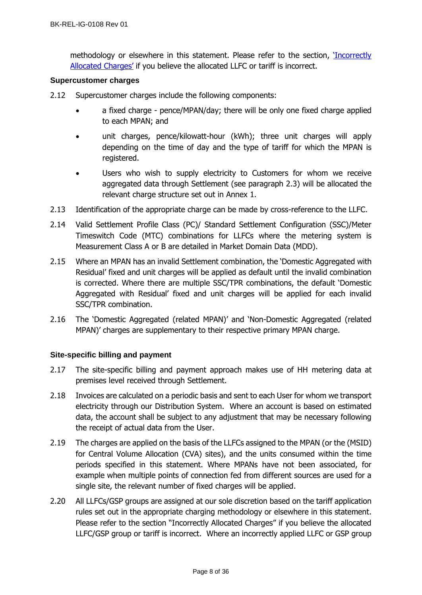methodology or elsewhere in this statement. Please refer to the section, '[Incorrectly](#page-12-0)  [Allocated Charges'](#page-12-0) if you believe the allocated LLFC or tariff is incorrect.

### <span id="page-7-0"></span>**Supercustomer charges**

- 2.12 Supercustomer charges include the following components:
	- a fixed charge pence/MPAN/day; there will be only one fixed charge applied to each MPAN; and
	- unit charges, pence/kilowatt-hour (kWh); three unit charges will apply depending on the time of day and the type of tariff for which the MPAN is registered.
	- Users who wish to supply electricity to Customers for whom we receive aggregated data through Settlement (see paragraph 2.3) will be allocated the relevant charge structure set out in Annex 1.
- 2.13 Identification of the appropriate charge can be made by cross-reference to the LLFC.
- 2.14 Valid Settlement Profile Class (PC)/ Standard Settlement Configuration (SSC)/Meter Timeswitch Code (MTC) combinations for LLFCs where the metering system is Measurement Class A or B are detailed in Market Domain Data (MDD).
- 2.15 Where an MPAN has an invalid Settlement combination, the 'Domestic Aggregated with Residual' fixed and unit charges will be applied as default until the invalid combination is corrected. Where there are multiple SSC/TPR combinations, the default 'Domestic Aggregated with Residual' fixed and unit charges will be applied for each invalid SSC/TPR combination.
- 2.16 The 'Domestic Aggregated (related MPAN)' and 'Non-Domestic Aggregated (related MPAN)' charges are supplementary to their respective primary MPAN charge.

## <span id="page-7-1"></span>**Site-specific billing and payment**

- 2.17 The site-specific billing and payment approach makes use of HH metering data at premises level received through Settlement.
- 2.18 Invoices are calculated on a periodic basis and sent to each User for whom we transport electricity through our Distribution System. Where an account is based on estimated data, the account shall be subject to any adjustment that may be necessary following the receipt of actual data from the User.
- 2.19 The charges are applied on the basis of the LLFCs assigned to the MPAN (or the (MSID) for Central Volume Allocation (CVA) sites), and the units consumed within the time periods specified in this statement. Where MPANs have not been associated, for example when multiple points of connection fed from different sources are used for a single site, the relevant number of fixed charges will be applied.
- 2.20 All LLFCs/GSP groups are assigned at our sole discretion based on the tariff application rules set out in the appropriate charging methodology or elsewhere in this statement. Please refer to the section "Incorrectly Allocated Charges" if you believe the allocated LLFC/GSP group or tariff is incorrect. Where an incorrectly applied LLFC or GSP group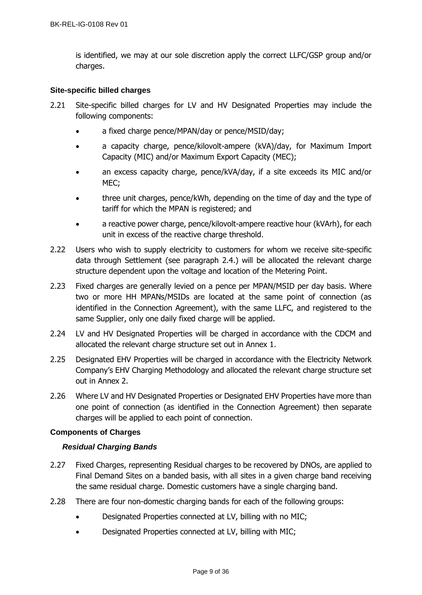is identified, we may at our sole discretion apply the correct LLFC/GSP group and/or charges.

## <span id="page-8-0"></span>**Site-specific billed charges**

- 2.21 Site-specific billed charges for LV and HV Designated Properties may include the following components:
	- a fixed charge pence/MPAN/day or pence/MSID/day;
	- a capacity charge, pence/kilovolt-ampere (kVA)/day, for Maximum Import Capacity (MIC) and/or Maximum Export Capacity (MEC);
	- an excess capacity charge, pence/kVA/day, if a site exceeds its MIC and/or MEC;
	- three unit charges, pence/kWh, depending on the time of day and the type of tariff for which the MPAN is registered; and
	- a reactive power charge, pence/kilovolt-ampere reactive hour (kVArh), for each unit in excess of the reactive charge threshold.
- 2.22 Users who wish to supply electricity to customers for whom we receive site-specific data through Settlement (see paragraph 2.4.) will be allocated the relevant charge structure dependent upon the voltage and location of the Metering Point.
- 2.23 Fixed charges are generally levied on a pence per MPAN/MSID per day basis. Where two or more HH MPANs/MSIDs are located at the same point of connection (as identified in the Connection Agreement), with the same LLFC, and registered to the same Supplier, only one daily fixed charge will be applied.
- 2.24 LV and HV Designated Properties will be charged in accordance with the CDCM and allocated the relevant charge structure set out in Annex 1.
- 2.25 Designated EHV Properties will be charged in accordance with the Electricity Network Company's EHV Charging Methodology and allocated the relevant charge structure set out in Annex 2.
- 2.26 Where LV and HV Designated Properties or Designated EHV Properties have more than one point of connection (as identified in the Connection Agreement) then separate charges will be applied to each point of connection.

## **Components of Charges**

## *Residual Charging Bands*

- 2.27 Fixed Charges, representing Residual charges to be recovered by DNOs, are applied to Final Demand Sites on a banded basis, with all sites in a given charge band receiving the same residual charge. Domestic customers have a single charging band.
- 2.28 There are four non-domestic charging bands for each of the following groups:
	- Designated Properties connected at LV, billing with no MIC;
	- Designated Properties connected at LV, billing with MIC;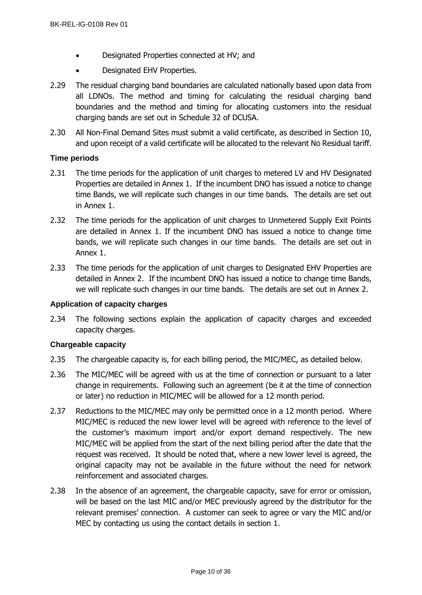- Designated Properties connected at HV; and
- Designated EHV Properties.
- 2.29 The residual charging band boundaries are calculated nationally based upon data from all LDNOs. The method and timing for calculating the residual charging band boundaries and the method and timing for allocating customers into the residual charging bands are set out in Schedule 32 of DCUSA.
- 2.30 All Non-Final Demand Sites must submit a valid certificate, as described in Section 10, and upon receipt of a valid certificate will be allocated to the relevant No Residual tariff.

## <span id="page-9-0"></span>**Time periods**

- 2.31 The time periods for the application of unit charges to metered LV and HV Designated Properties are detailed in Annex 1. If the incumbent DNO has issued a notice to change time Bands, we will replicate such changes in our time bands. The details are set out in Annex 1.
- 2.32 The time periods for the application of unit charges to Unmetered Supply Exit Points are detailed in Annex 1. If the incumbent DNO has issued a notice to change time bands, we will replicate such changes in our time bands. The details are set out in Annex 1.
- 2.33 The time periods for the application of unit charges to Designated EHV Properties are detailed in Annex 2. If the incumbent DNO has issued a notice to change time Bands, we will replicate such changes in our time bands. The details are set out in Annex 2.

### <span id="page-9-1"></span>**Application of capacity charges**

2.34 The following sections explain the application of capacity charges and exceeded capacity charges.

### <span id="page-9-2"></span>**Chargeable capacity**

- 2.35 The chargeable capacity is, for each billing period, the MIC/MEC, as detailed below.
- 2.36 The MIC/MEC will be agreed with us at the time of connection or pursuant to a later change in requirements. Following such an agreement (be it at the time of connection or later) no reduction in MIC/MEC will be allowed for a 12 month period.
- 2.37 Reductions to the MIC/MEC may only be permitted once in a 12 month period. Where MIC/MEC is reduced the new lower level will be agreed with reference to the level of the customer's maximum import and/or export demand respectively. The new MIC/MEC will be applied from the start of the next billing period after the date that the request was received. It should be noted that, where a new lower level is agreed, the original capacity may not be available in the future without the need for network reinforcement and associated charges.
- 2.38 In the absence of an agreement, the chargeable capacity, save for error or omission, will be based on the last MIC and/or MEC previously agreed by the distributor for the relevant premises' connection. A customer can seek to agree or vary the MIC and/or MEC by contacting us using the contact details in section [1.](#page-4-0)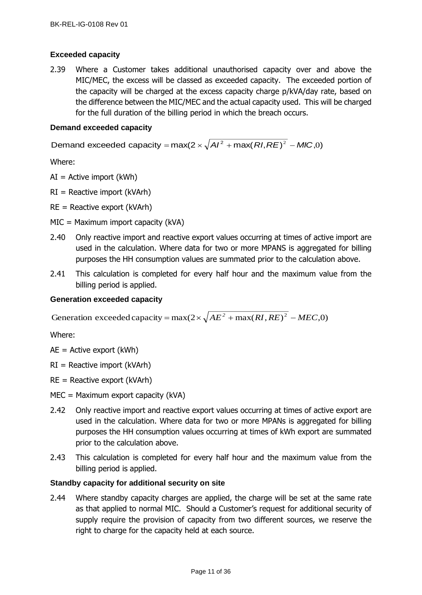## <span id="page-10-0"></span>**Exceeded capacity**

2.39 Where a Customer takes additional unauthorised capacity over and above the MIC/MEC, the excess will be classed as exceeded capacity. The exceeded portion of the capacity will be charged at the excess capacity charge p/kVA/day rate, based on the difference between the MIC/MEC and the actual capacity used. This will be charged for the full duration of the billing period in which the breach occurs.

## <span id="page-10-1"></span>**Demand exceeded capacity**

Demand exceeded capacity = max(2  $\times$   $\sqrt{{\cal A} I^2}$  + max(  ${\cal R} I, {\cal R} E)^2$  *– MIC*,0)

Where:

- $AI =$  Active import (kWh)
- $RI =$  Reactive import (kVArh)
- $RE =$  Reactive export (kVArh)
- MIC = Maximum import capacity (kVA)
- 2.40 Only reactive import and reactive export values occurring at times of active import are used in the calculation. Where data for two or more MPANS is aggregated for billing purposes the HH consumption values are summated prior to the calculation above.
- 2.41 This calculation is completed for every half hour and the maximum value from the billing period is applied.

### <span id="page-10-2"></span>**Generation exceeded capacity**

Generation exceeded capacity =  $max(2 \times \sqrt{AE^2 + max(RI, RE)^2 - MEC, 0})$ 

Where:

- $AE =$  Active export (kWh)
- $RI =$  Reactive import (kVArh)
- $RE =$  Reactive export (kVArh)
- MEC = Maximum export capacity (kVA)
- 2.42 Only reactive import and reactive export values occurring at times of active export are used in the calculation. Where data for two or more MPANs is aggregated for billing purposes the HH consumption values occurring at times of kWh export are summated prior to the calculation above.
- 2.43 This calculation is completed for every half hour and the maximum value from the billing period is applied.

## <span id="page-10-3"></span>**Standby capacity for additional security on site**

2.44 Where standby capacity charges are applied, the charge will be set at the same rate as that applied to normal MIC. Should a Customer's request for additional security of supply require the provision of capacity from two different sources, we reserve the right to charge for the capacity held at each source.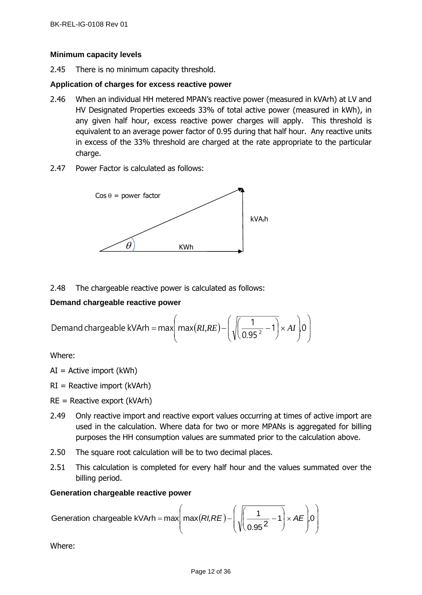## <span id="page-11-0"></span>**Minimum capacity levels**

2.45 There is no minimum capacity threshold.

## <span id="page-11-1"></span>**Application of charges for excess reactive power**

- 2.46 When an individual HH metered MPAN's reactive power (measured in kVArh) at LV and HV Designated Properties exceeds 33% of total active power (measured in kWh), in any given half hour, excess reactive power charges will apply. This threshold is equivalent to an average power factor of 0.95 during that half hour. Any reactive units in excess of the 33% threshold are charged at the rate appropriate to the particular charge.
- 2.47 Power Factor is calculated as follows:



## 2.48 The chargeable reactive power is calculated as follows:

## <span id="page-11-2"></span>**Demand chargeable reactive power**

Demand chargeable kVArh = max
$$
\left(\max(RI,RE) - \left(\sqrt{\left(\frac{1}{0.95^2} - 1\right)} \times AI\right)0\right)
$$

Where:

- $AI =$  Active import (kWh)
- $RI =$  Reactive import (kVArh)
- $RE =$  Reactive export (kVArh)
- 2.49 Only reactive import and reactive export values occurring at times of active import are used in the calculation. Where data for two or more MPANs is aggregated for billing purposes the HH consumption values are summated prior to the calculation above.
- 2.50 The square root calculation will be to two decimal places.
- 2.51 This calculation is completed for every half hour and the values summated over the billing period.

### <span id="page-11-3"></span>**Generation chargeable reactive power**

Generation chargeable kVArh = max
$$
\left( max(RI,RE) - \left( \sqrt{\frac{1}{0.95^2} - 1} \right) \times AE \right)
$$
, 0

Where: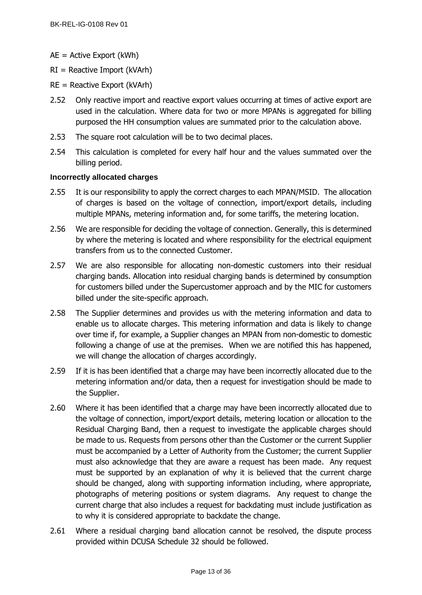- AE = Active Export (kWh)
- $RI =$  Reactive Import (kVArh)
- $RE =$  Reactive Export (kVArh)
- 2.52 Only reactive import and reactive export values occurring at times of active export are used in the calculation. Where data for two or more MPANs is aggregated for billing purposed the HH consumption values are summated prior to the calculation above.
- 2.53 The square root calculation will be to two decimal places.
- 2.54 This calculation is completed for every half hour and the values summated over the billing period.

### <span id="page-12-0"></span>**Incorrectly allocated charges**

- 2.55 It is our responsibility to apply the correct charges to each MPAN/MSID. The allocation of charges is based on the voltage of connection, import/export details, including multiple MPANs, metering information and, for some tariffs, the metering location.
- 2.56 We are responsible for deciding the voltage of connection. Generally, this is determined by where the metering is located and where responsibility for the electrical equipment transfers from us to the connected Customer.
- 2.57 We are also responsible for allocating non-domestic customers into their residual charging bands. Allocation into residual charging bands is determined by consumption for customers billed under the Supercustomer approach and by the MIC for customers billed under the site-specific approach.
- 2.58 The Supplier determines and provides us with the metering information and data to enable us to allocate charges. This metering information and data is likely to change over time if, for example, a Supplier changes an MPAN from non-domestic to domestic following a change of use at the premises. When we are notified this has happened, we will change the allocation of charges accordingly.
- 2.59 If it is has been identified that a charge may have been incorrectly allocated due to the metering information and/or data, then a request for investigation should be made to the Supplier.
- 2.60 Where it has been identified that a charge may have been incorrectly allocated due to the voltage of connection, import/export details, metering location or allocation to the Residual Charging Band, then a request to investigate the applicable charges should be made to us. Requests from persons other than the Customer or the current Supplier must be accompanied by a Letter of Authority from the Customer; the current Supplier must also acknowledge that they are aware a request has been made. Any request must be supported by an explanation of why it is believed that the current charge should be changed, along with supporting information including, where appropriate, photographs of metering positions or system diagrams. Any request to change the current charge that also includes a request for backdating must include justification as to why it is considered appropriate to backdate the change.
- 2.61 Where a residual charging band allocation cannot be resolved, the dispute process provided within DCUSA Schedule 32 should be followed.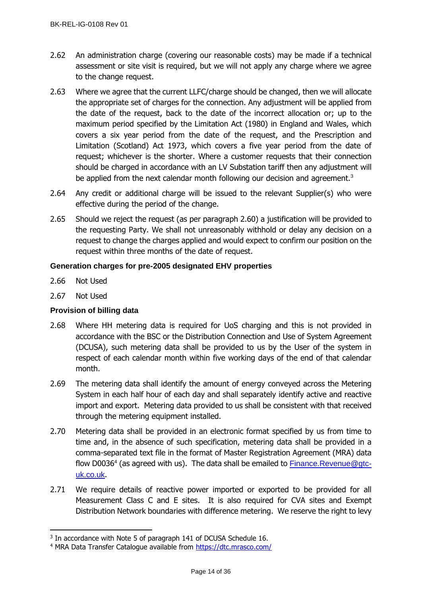- 2.62 An administration charge (covering our reasonable costs) may be made if a technical assessment or site visit is required, but we will not apply any charge where we agree to the change request.
- 2.63 Where we agree that the current LLFC/charge should be changed, then we will allocate the appropriate set of charges for the connection. Any adjustment will be applied from the date of the request, back to the date of the incorrect allocation or; up to the maximum period specified by the Limitation Act (1980) in England and Wales, which covers a six year period from the date of the request, and the Prescription and Limitation (Scotland) Act 1973, which covers a five year period from the date of request; whichever is the shorter. Where a customer requests that their connection should be charged in accordance with an LV Substation tariff then any adjustment will be applied from the next calendar month following our decision and agreement. $3$
- 2.64 Any credit or additional charge will be issued to the relevant Supplier(s) who were effective during the period of the change.
- 2.65 Should we reject the request (as per paragraph 2.60) a justification will be provided to the requesting Party. We shall not unreasonably withhold or delay any decision on a request to change the charges applied and would expect to confirm our position on the request within three months of the date of request.

## <span id="page-13-0"></span>**Generation charges for pre-2005 designated EHV properties**

- 2.66 Not Used
- 2.67 Not Used

## <span id="page-13-1"></span>**Provision of billing data**

- 2.68 Where HH metering data is required for UoS charging and this is not provided in accordance with the BSC or the Distribution Connection and Use of System Agreement (DCUSA), such metering data shall be provided to us by the User of the system in respect of each calendar month within five working days of the end of that calendar month.
- 2.69 The metering data shall identify the amount of energy conveyed across the Metering System in each half hour of each day and shall separately identify active and reactive import and export. Metering data provided to us shall be consistent with that received through the metering equipment installed.
- 2.70 Metering data shall be provided in an electronic format specified by us from time to time and, in the absence of such specification, metering data shall be provided in a comma-separated text file in the format of Master Registration Agreement (MRA) data flow D0036<sup>4</sup> (as agreed with us). The data shall be emailed to **[Finance.Revenue@gtc](mailto:Finance.Revenue@gtc-uk.co.uk)**[uk.co.uk](mailto:Finance.Revenue@gtc-uk.co.uk).
- 2.71 We require details of reactive power imported or exported to be provided for all Measurement Class C and E sites. It is also required for CVA sites and Exempt Distribution Network boundaries with difference metering. We reserve the right to levy

<sup>&</sup>lt;sup>3</sup> In accordance with Note 5 of paragraph 141 of DCUSA Schedule 16.

<sup>&</sup>lt;sup>4</sup> MRA Data Transfer Catalogue available from<https://dtc.mrasco.com/>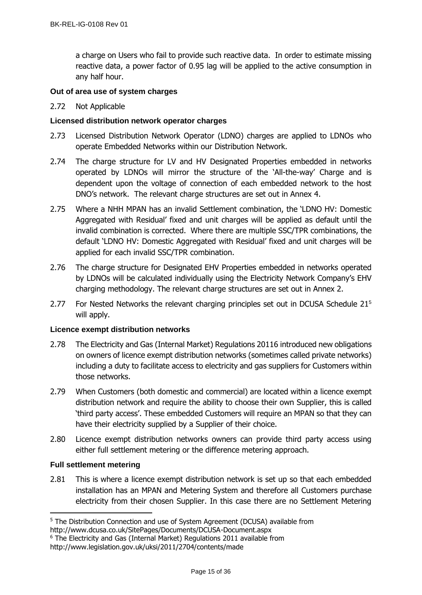a charge on Users who fail to provide such reactive data. In order to estimate missing reactive data, a power factor of 0.95 lag will be applied to the active consumption in any half hour.

## <span id="page-14-0"></span>**Out of area use of system charges**

## 2.72 Not Applicable

## <span id="page-14-1"></span>**Licensed distribution network operator charges**

- 2.73 Licensed Distribution Network Operator (LDNO) charges are applied to LDNOs who operate Embedded Networks within our Distribution Network.
- 2.74 The charge structure for LV and HV Designated Properties embedded in networks operated by LDNOs will mirror the structure of the 'All-the-way' Charge and is dependent upon the voltage of connection of each embedded network to the host DNO's network. The relevant charge structures are set out in Annex 4.
- 2.75 Where a NHH MPAN has an invalid Settlement combination, the 'LDNO HV: Domestic Aggregated with Residual' fixed and unit charges will be applied as default until the invalid combination is corrected. Where there are multiple SSC/TPR combinations, the default 'LDNO HV: Domestic Aggregated with Residual' fixed and unit charges will be applied for each invalid SSC/TPR combination.
- 2.76 The charge structure for Designated EHV Properties embedded in networks operated by LDNOs will be calculated individually using the Electricity Network Company's EHV charging methodology. The relevant charge structures are set out in Annex 2.
- 2.77 For Nested Networks the relevant charging principles set out in DCUSA Schedule 21<sup>5</sup> will apply.

### <span id="page-14-2"></span>**Licence exempt distribution networks**

- 2.78 The Electricity and Gas (Internal Market) Regulations 20116 introduced new obligations on owners of licence exempt distribution networks (sometimes called private networks) including a duty to facilitate access to electricity and gas suppliers for Customers within those networks.
- 2.79 When Customers (both domestic and commercial) are located within a licence exempt distribution network and require the ability to choose their own Supplier, this is called 'third party access'. These embedded Customers will require an MPAN so that they can have their electricity supplied by a Supplier of their choice.
- 2.80 Licence exempt distribution networks owners can provide third party access using either full settlement metering or the difference metering approach.

### <span id="page-14-3"></span>**Full settlement metering**

2.81 This is where a licence exempt distribution network is set up so that each embedded installation has an MPAN and Metering System and therefore all Customers purchase electricity from their chosen Supplier. In this case there are no Settlement Metering

<sup>&</sup>lt;sup>5</sup> The Distribution Connection and use of System Agreement (DCUSA) available from

http://www.dcusa.co.uk/SitePages/Documents/DCUSA-Document.aspx

<sup>&</sup>lt;sup>6</sup> The Electricity and Gas (Internal Market) Regulations 2011 available from

http://www.legislation.gov.uk/uksi/2011/2704/contents/made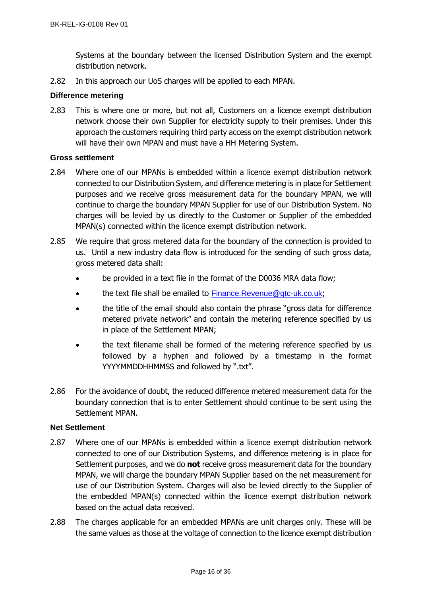Systems at the boundary between the licensed Distribution System and the exempt distribution network.

2.82 In this approach our UoS charges will be applied to each MPAN.

## <span id="page-15-0"></span>**Difference metering**

2.83 This is where one or more, but not all, Customers on a licence exempt distribution network choose their own Supplier for electricity supply to their premises. Under this approach the customers requiring third party access on the exempt distribution network will have their own MPAN and must have a HH Metering System.

### <span id="page-15-1"></span>**Gross settlement**

- 2.84 Where one of our MPANs is embedded within a licence exempt distribution network connected to our Distribution System, and difference metering is in place for Settlement purposes and we receive gross measurement data for the boundary MPAN, we will continue to charge the boundary MPAN Supplier for use of our Distribution System. No charges will be levied by us directly to the Customer or Supplier of the embedded MPAN(s) connected within the licence exempt distribution network.
- 2.85 We require that gross metered data for the boundary of the connection is provided to us. Until a new industry data flow is introduced for the sending of such gross data, gross metered data shall:
	- be provided in a text file in the format of the D0036 MRA data flow;
	- the text file shall be emailed to [Finance.Revenue@gtc-uk.co.uk](mailto:Finance.Revenue@gtc-uk.co.uk);
	- the title of the email should also contain the phrase "gross data for difference metered private network" and contain the metering reference specified by us in place of the Settlement MPAN;
	- the text filename shall be formed of the metering reference specified by us followed by a hyphen and followed by a timestamp in the format YYYYMMDDHHMMSS and followed by ".txt".
- 2.86 For the avoidance of doubt, the reduced difference metered measurement data for the boundary connection that is to enter Settlement should continue to be sent using the Settlement MPAN.

### <span id="page-15-2"></span>**Net Settlement**

- 2.87 Where one of our MPANs is embedded within a licence exempt distribution network connected to one of our Distribution Systems, and difference metering is in place for Settlement purposes, and we do **not** receive gross measurement data for the boundary MPAN, we will charge the boundary MPAN Supplier based on the net measurement for use of our Distribution System. Charges will also be levied directly to the Supplier of the embedded MPAN(s) connected within the licence exempt distribution network based on the actual data received.
- 2.88 The charges applicable for an embedded MPANs are unit charges only. These will be the same values as those at the voltage of connection to the licence exempt distribution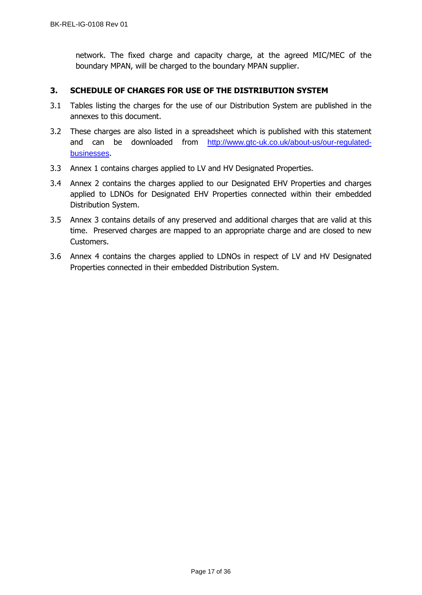network. The fixed charge and capacity charge, at the agreed MIC/MEC of the boundary MPAN, will be charged to the boundary MPAN supplier.

## <span id="page-16-0"></span>**3. SCHEDULE OF CHARGES FOR USE OF THE DISTRIBUTION SYSTEM**

- 3.1 Tables listing the charges for the use of our Distribution System are published in the annexes to this document.
- 3.2 These charges are also listed in a spreadsheet which is published with this statement and can be downloaded from [http://www.gtc-uk.co.uk/about-us/our-regulated](http://www.gtc-uk.co.uk/about-us/our-regulated-businesses)[businesses](http://www.gtc-uk.co.uk/about-us/our-regulated-businesses).
- 3.3 Annex 1 contains charges applied to LV and HV Designated Properties.
- 3.4 Annex 2 contains the charges applied to our Designated EHV Properties and charges applied to LDNOs for Designated EHV Properties connected within their embedded Distribution System.
- 3.5 Annex 3 contains details of any preserved and additional charges that are valid at this time. Preserved charges are mapped to an appropriate charge and are closed to new Customers.
- 3.6 Annex 4 contains the charges applied to LDNOs in respect of LV and HV Designated Properties connected in their embedded Distribution System.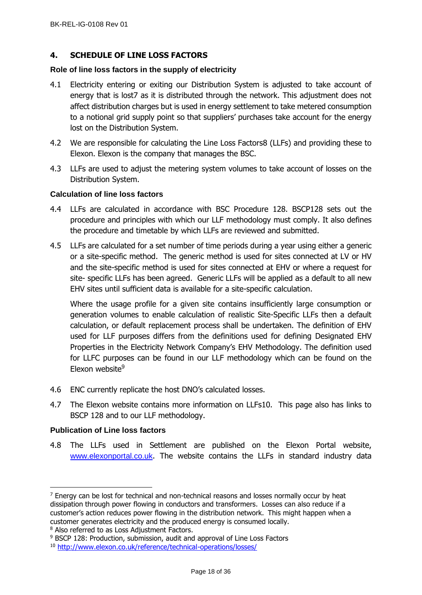## <span id="page-17-0"></span>**4. SCHEDULE OF LINE LOSS FACTORS**

#### <span id="page-17-1"></span>**Role of line loss factors in the supply of electricity**

- 4.1 Electricity entering or exiting our Distribution System is adjusted to take account of energy that is lost7 as it is distributed through the network. This adjustment does not affect distribution charges but is used in energy settlement to take metered consumption to a notional grid supply point so that suppliers' purchases take account for the energy lost on the Distribution System.
- 4.2 We are responsible for calculating the Line Loss Factors8 (LLFs) and providing these to Elexon. Elexon is the company that manages the BSC.
- 4.3 LLFs are used to adjust the metering system volumes to take account of losses on the Distribution System.

### <span id="page-17-2"></span>**Calculation of line loss factors**

- 4.4 LLFs are calculated in accordance with BSC Procedure 128. BSCP128 sets out the procedure and principles with which our LLF methodology must comply. It also defines the procedure and timetable by which LLFs are reviewed and submitted.
- 4.5 LLFs are calculated for a set number of time periods during a year using either a generic or a site-specific method. The generic method is used for sites connected at LV or HV and the site-specific method is used for sites connected at EHV or where a request for site- specific LLFs has been agreed. Generic LLFs will be applied as a default to all new EHV sites until sufficient data is available for a site-specific calculation.

Where the usage profile for a given site contains insufficiently large consumption or generation volumes to enable calculation of realistic Site-Specific LLFs then a default calculation, or default replacement process shall be undertaken. The definition of EHV used for LLF purposes differs from the definitions used for defining Designated EHV Properties in the Electricity Network Company's EHV Methodology. The definition used for LLFC purposes can be found in our LLF methodology which can be found on the Elexon website<sup>9</sup>

- 4.6 ENC currently replicate the host DNO's calculated losses.
- 4.7 The Elexon website contains more information on LLFs10. This page also has links to BSCP 128 and to our LLF methodology.

### <span id="page-17-3"></span>**Publication of Line loss factors**

4.8 The LLFs used in Settlement are published on the Elexon Portal website, [www.elexonportal.co.uk](http://www.elexonportal.co.uk/). The website contains the LLFs in standard industry data

 $<sup>7</sup>$  Energy can be lost for technical and non-technical reasons and losses normally occur by heat</sup> dissipation through power flowing in conductors and transformers. Losses can also reduce if a customer's action reduces power flowing in the distribution network. This might happen when a customer generates electricity and the produced energy is consumed locally.

<sup>8</sup> Also referred to as Loss Adjustment Factors.

<sup>&</sup>lt;sup>9</sup> BSCP 128: Production, submission, audit and approval of Line Loss Factors

<sup>10</sup> <http://www.elexon.co.uk/reference/technical-operations/losses/>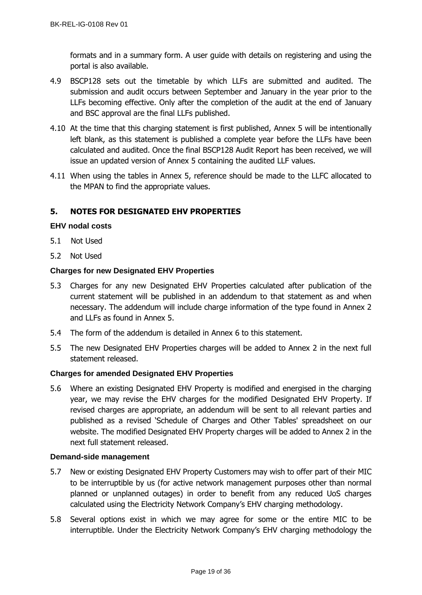formats and in a summary form. A user guide with details on registering and using the portal is also available.

- 4.9 BSCP128 sets out the timetable by which LLFs are submitted and audited. The submission and audit occurs between September and January in the year prior to the LLFs becoming effective. Only after the completion of the audit at the end of January and BSC approval are the final LLFs published.
- 4.10 At the time that this charging statement is first published, Annex 5 will be intentionally left blank, as this statement is published a complete year before the LLFs have been calculated and audited. Once the final BSCP128 Audit Report has been received, we will issue an updated version of Annex 5 containing the audited LLF values.
- 4.11 When using the tables in Annex 5, reference should be made to the LLFC allocated to the MPAN to find the appropriate values.

## <span id="page-18-0"></span>**5. NOTES FOR DESIGNATED EHV PROPERTIES**

## <span id="page-18-1"></span>**EHV nodal costs**

- 5.1 Not Used
- 5.2 Not Used

## <span id="page-18-2"></span>**Charges for new Designated EHV Properties**

- 5.3 Charges for any new Designated EHV Properties calculated after publication of the current statement will be published in an addendum to that statement as and when necessary. The addendum will include charge information of the type found in Annex 2 and LLFs as found in Annex 5.
- 5.4 The form of the addendum is detailed in Annex 6 to this statement.
- 5.5 The new Designated EHV Properties charges will be added to Annex 2 in the next full statement released.

### <span id="page-18-3"></span>**Charges for amended Designated EHV Properties**

5.6 Where an existing Designated EHV Property is modified and energised in the charging year, we may revise the EHV charges for the modified Designated EHV Property. If revised charges are appropriate, an addendum will be sent to all relevant parties and published as a revised 'Schedule of Charges and Other Tables' spreadsheet on our website. The modified Designated EHV Property charges will be added to Annex 2 in the next full statement released.

### <span id="page-18-4"></span>**Demand-side management**

- 5.7 New or existing Designated EHV Property Customers may wish to offer part of their MIC to be interruptible by us (for active network management purposes other than normal planned or unplanned outages) in order to benefit from any reduced UoS charges calculated using the Electricity Network Company's EHV charging methodology.
- 5.8 Several options exist in which we may agree for some or the entire MIC to be interruptible. Under the Electricity Network Company's EHV charging methodology the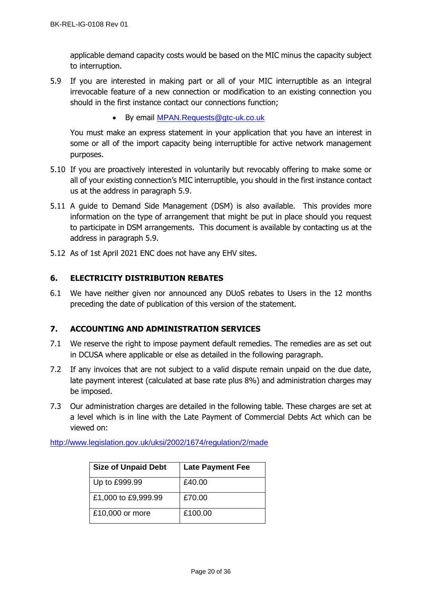applicable demand capacity costs would be based on the MIC minus the capacity subject to interruption.

- 5.9 If you are interested in making part or all of your MIC interruptible as an integral irrevocable feature of a new connection or modification to an existing connection you should in the first instance contact our connections function;
	- By email [MPAN.Requests@gtc-uk.co.uk](mailto:MPAN.Requests@gtc-uk.co.uk)

You must make an express statement in your application that you have an interest in some or all of the import capacity being interruptible for active network management purposes.

- 5.10 If you are proactively interested in voluntarily but revocably offering to make some or all of your existing connection's MIC interruptible, you should in the first instance contact us at the address in paragraph 5.9.
- 5.11 A guide to Demand Side Management (DSM) is also available. This provides more information on the type of arrangement that might be put in place should you request to participate in DSM arrangements. This document is available by contacting us at the address in paragraph 5.9.
- 5.12 As of 1st April 2021 ENC does not have any EHV sites.

## <span id="page-19-0"></span>**6. ELECTRICITY DISTRIBUTION REBATES**

6.1 We have neither given nor announced any DUoS rebates to Users in the 12 months preceding the date of publication of this version of the statement.

## <span id="page-19-1"></span>**7. ACCOUNTING AND ADMINISTRATION SERVICES**

- 7.1 We reserve the right to impose payment default remedies. The remedies are as set out in DCUSA where applicable or else as detailed in the following paragraph.
- 7.2 If any invoices that are not subject to a valid dispute remain unpaid on the due date, late payment interest (calculated at base rate plus 8%) and administration charges may be imposed.
- 7.3 Our administration charges are detailed in the following table. These charges are set at a level which is in line with the Late Payment of Commercial Debts Act which can be viewed on:

<http://www.legislation.gov.uk/uksi/2002/1674/regulation/2/made>

| <b>Size of Unpaid Debt</b> | <b>Late Payment Fee</b> |
|----------------------------|-------------------------|
| Up to £999.99              | £40.00                  |
| £1,000 to £9,999.99        | £70.00                  |
| £10,000 or more            | £100.00                 |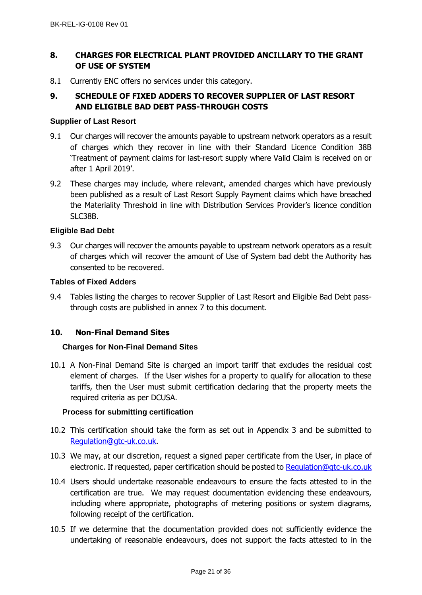## <span id="page-20-0"></span>**8. CHARGES FOR ELECTRICAL PLANT PROVIDED ANCILLARY TO THE GRANT OF USE OF SYSTEM**

8.1 Currently ENC offers no services under this category.

# <span id="page-20-1"></span>**9. SCHEDULE OF FIXED ADDERS TO RECOVER SUPPLIER OF LAST RESORT AND ELIGIBLE BAD DEBT PASS-THROUGH COSTS**

#### <span id="page-20-2"></span>**Supplier of Last Resort**

- 9.1 Our charges will recover the amounts payable to upstream network operators as a result of charges which they recover in line with their Standard Licence Condition 38B 'Treatment of payment claims for last-resort supply where Valid Claim is received on or after 1 April 2019'.
- 9.2 These charges may include, where relevant, amended charges which have previously been published as a result of Last Resort Supply Payment claims which have breached the Materiality Threshold in line with Distribution Services Provider's licence condition SLC38B.

### <span id="page-20-3"></span>**Eligible Bad Debt**

9.3 Our charges will recover the amounts payable to upstream network operators as a result of charges which will recover the amount of Use of System bad debt the Authority has consented to be recovered.

### <span id="page-20-4"></span>**Tables of Fixed Adders**

9.4 Tables listing the charges to recover Supplier of Last Resort and Eligible Bad Debt passthrough costs are published in annex 7 to this document.

### **10. Non-Final Demand Sites**

### **Charges for Non-Final Demand Sites**

10.1 A Non-Final Demand Site is charged an import tariff that excludes the residual cost element of charges. If the User wishes for a property to qualify for allocation to these tariffs, then the User must submit certification declaring that the property meets the required criteria as per DCUSA.

### **Process for submitting certification**

- 10.2 This certification should take the form as set out in Appendix 3 and be submitted to [Regulation@gtc-uk.co.uk.](mailto:Regulation@gtc-uk.co.uk)
- 10.3 We may, at our discretion, request a signed paper certificate from the User, in place of electronic. If requested, paper certification should be posted to [Regulation@gtc-uk.co.uk](mailto:Regulation@gtc-uk.co.uk)
- 10.4 Users should undertake reasonable endeavours to ensure the facts attested to in the certification are true. We may request documentation evidencing these endeavours, including where appropriate, photographs of metering positions or system diagrams, following receipt of the certification.
- 10.5 If we determine that the documentation provided does not sufficiently evidence the undertaking of reasonable endeavours, does not support the facts attested to in the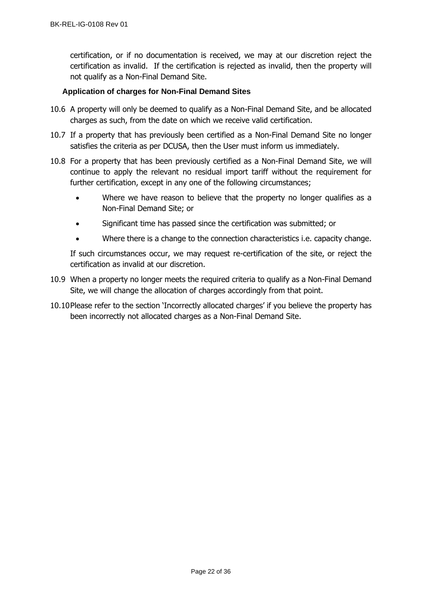certification, or if no documentation is received, we may at our discretion reject the certification as invalid. If the certification is rejected as invalid, then the property will not qualify as a Non-Final Demand Site.

## **Application of charges for Non-Final Demand Sites**

- 10.6 A property will only be deemed to qualify as a Non-Final Demand Site, and be allocated charges as such, from the date on which we receive valid certification.
- 10.7 If a property that has previously been certified as a Non-Final Demand Site no longer satisfies the criteria as per DCUSA, then the User must inform us immediately.
- 10.8 For a property that has been previously certified as a Non-Final Demand Site, we will continue to apply the relevant no residual import tariff without the requirement for further certification, except in any one of the following circumstances;
	- Where we have reason to believe that the property no longer qualifies as a Non-Final Demand Site; or
	- Significant time has passed since the certification was submitted; or
	- Where there is a change to the connection characteristics i.e. capacity change.

If such circumstances occur, we may request re-certification of the site, or reject the certification as invalid at our discretion.

- 10.9 When a property no longer meets the required criteria to qualify as a Non-Final Demand Site, we will change the allocation of charges accordingly from that point.
- 10.10Please refer to the section 'Incorrectly allocated charges' if you believe the property has been incorrectly not allocated charges as a Non-Final Demand Site.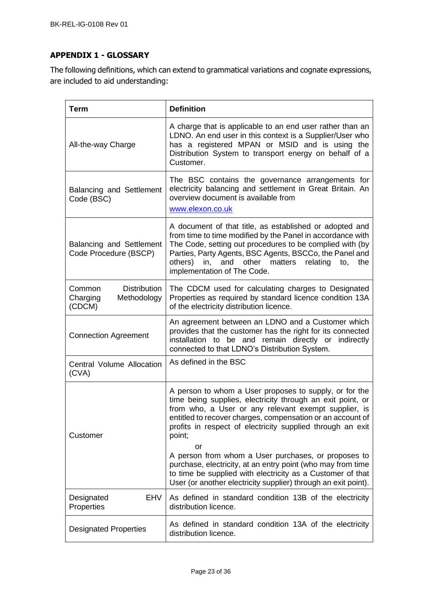# <span id="page-22-0"></span>**APPENDIX 1 - GLOSSARY**

The following definitions, which can extend to grammatical variations and cognate expressions, are included to aid understanding:

| <b>Term</b>                                                        | <b>Definition</b>                                                                                                                                                                                                                                                                                                                                                                                                                              |
|--------------------------------------------------------------------|------------------------------------------------------------------------------------------------------------------------------------------------------------------------------------------------------------------------------------------------------------------------------------------------------------------------------------------------------------------------------------------------------------------------------------------------|
| All-the-way Charge                                                 | A charge that is applicable to an end user rather than an<br>LDNO. An end user in this context is a Supplier/User who<br>has a registered MPAN or MSID and is using the<br>Distribution System to transport energy on behalf of a<br>Customer.                                                                                                                                                                                                 |
| <b>Balancing and Settlement</b><br>Code (BSC)                      | The BSC contains the governance arrangements for<br>electricity balancing and settlement in Great Britain. An<br>overview document is available from<br>www.elexon.co.uk                                                                                                                                                                                                                                                                       |
| <b>Balancing and Settlement</b><br>Code Procedure (BSCP)           | A document of that title, as established or adopted and<br>from time to time modified by the Panel in accordance with<br>The Code, setting out procedures to be complied with (by<br>Parties, Party Agents, BSC Agents, BSCCo, the Panel and<br>others)<br>and other<br>matters<br>relating<br>in,<br>the<br>to,<br>implementation of The Code.                                                                                                |
| <b>Distribution</b><br>Common<br>Charging<br>Methodology<br>(CDCM) | The CDCM used for calculating charges to Designated<br>Properties as required by standard licence condition 13A<br>of the electricity distribution licence.                                                                                                                                                                                                                                                                                    |
| <b>Connection Agreement</b>                                        | An agreement between an LDNO and a Customer which<br>provides that the customer has the right for its connected<br>installation to be and remain directly or indirectly<br>connected to that LDNO's Distribution System.                                                                                                                                                                                                                       |
| Central Volume Allocation<br>(CVA)                                 | As defined in the BSC                                                                                                                                                                                                                                                                                                                                                                                                                          |
| Customer                                                           | A person to whom a User proposes to supply, or for the<br>time being supplies, electricity through an exit point, or<br>from who, a User or any relevant exempt supplier, is<br>entitled to recover charges, compensation or an account of<br>profits in respect of electricity supplied through an exit<br>point;<br>or<br>A person from whom a User purchases, or proposes to<br>purchase, electricity, at an entry point (who may from time |
|                                                                    | to time be supplied with electricity as a Customer of that<br>User (or another electricity supplier) through an exit point).                                                                                                                                                                                                                                                                                                                   |
| EHV<br>Designated<br>Properties                                    | As defined in standard condition 13B of the electricity<br>distribution licence.                                                                                                                                                                                                                                                                                                                                                               |
| <b>Designated Properties</b>                                       | As defined in standard condition 13A of the electricity<br>distribution licence.                                                                                                                                                                                                                                                                                                                                                               |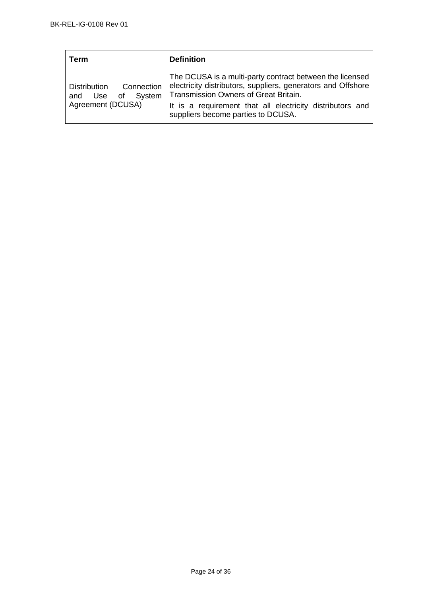| ⊺erm                                                                              | <b>Definition</b>                                                                                                                                                                                                                                                    |
|-----------------------------------------------------------------------------------|----------------------------------------------------------------------------------------------------------------------------------------------------------------------------------------------------------------------------------------------------------------------|
| Connection<br><b>Distribution</b><br>of System<br>Use<br>and<br>Agreement (DCUSA) | The DCUSA is a multi-party contract between the licensed<br>electricity distributors, suppliers, generators and Offshore<br>Transmission Owners of Great Britain.<br>It is a requirement that all electricity distributors and<br>suppliers become parties to DCUSA. |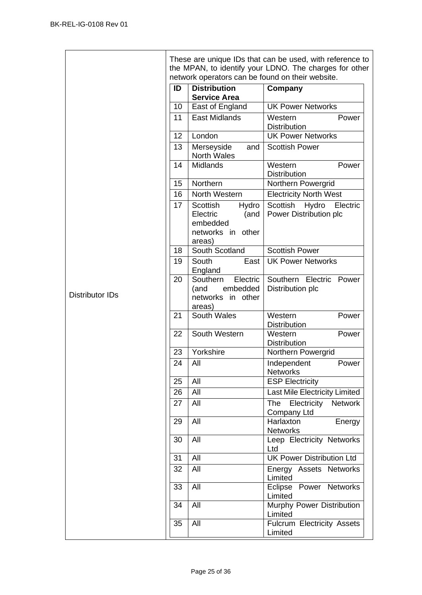|                        |    |                                                                                  | These are unique IDs that can be used, with reference to<br>the MPAN, to identify your LDNO. The charges for other |
|------------------------|----|----------------------------------------------------------------------------------|--------------------------------------------------------------------------------------------------------------------|
|                        |    | network operators can be found on their website.                                 |                                                                                                                    |
|                        | ID | <b>Distribution</b><br><b>Service Area</b>                                       | Company                                                                                                            |
|                        | 10 | East of England                                                                  | <b>UK Power Networks</b>                                                                                           |
|                        | 11 | <b>East Midlands</b>                                                             | Western<br>Power<br>Distribution                                                                                   |
|                        | 12 | London                                                                           | <b>UK Power Networks</b>                                                                                           |
|                        | 13 | Merseyside<br>and<br><b>North Wales</b>                                          | <b>Scottish Power</b>                                                                                              |
|                        | 14 | <b>Midlands</b>                                                                  | Western<br>Power<br><b>Distribution</b>                                                                            |
|                        | 15 | Northern                                                                         | Northern Powergrid                                                                                                 |
|                        | 16 | North Western                                                                    | <b>Electricity North West</b>                                                                                      |
|                        | 17 | Scottish<br>Hydro<br>Electric<br>(and<br>embedded<br>networks in other<br>areas) | Scottish<br>Hydro<br>Electric<br>Power Distribution plc                                                            |
|                        | 18 | South Scotland                                                                   | <b>Scottish Power</b>                                                                                              |
|                        | 19 | South<br>East<br>England                                                         | <b>UK Power Networks</b>                                                                                           |
| <b>Distributor IDs</b> | 20 | Southern<br>Electric<br>embedded<br>(and<br>networks in other<br>areas)          | Southern Electric Power<br>Distribution plc                                                                        |
|                        | 21 | South Wales                                                                      | Western<br>Power<br><b>Distribution</b>                                                                            |
|                        | 22 | South Western                                                                    | Western<br>Power<br>Distribution                                                                                   |
|                        | 23 | Yorkshire                                                                        | Northern Powergrid                                                                                                 |
|                        | 24 | All                                                                              | Independent<br>Power<br><b>Networks</b>                                                                            |
|                        | 25 | All                                                                              | <b>ESP Electricity</b>                                                                                             |
|                        | 26 | All                                                                              | Last Mile Electricity Limited                                                                                      |
|                        | 27 | All                                                                              | The<br>Electricity<br><b>Network</b><br>Company Ltd                                                                |
|                        | 29 | All                                                                              | Energy<br>Harlaxton<br><b>Networks</b>                                                                             |
|                        | 30 | All                                                                              | Leep Electricity Networks<br>Ltd                                                                                   |
|                        | 31 | All                                                                              | <b>UK Power Distribution Ltd</b>                                                                                   |
|                        | 32 | All                                                                              | Energy Assets Networks<br>Limited                                                                                  |
|                        | 33 | All                                                                              | Eclipse Power Networks<br>Limited                                                                                  |
|                        | 34 | All                                                                              | Murphy Power Distribution<br>Limited                                                                               |
|                        | 35 | All                                                                              | Fulcrum Electricity Assets<br>Limited                                                                              |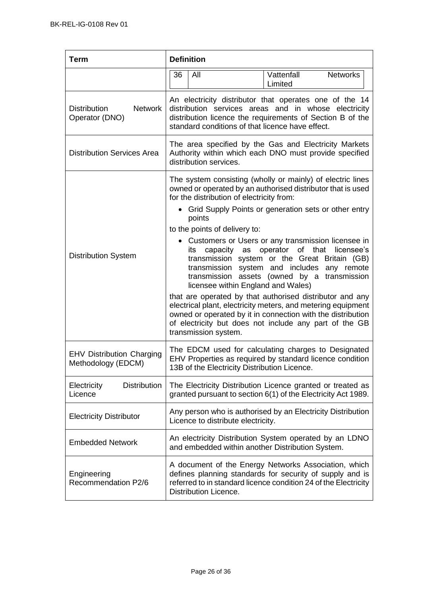| <b>Term</b>                                             | <b>Definition</b>                                                                                                                                                                                                               |                                                                                                                                                                                                                                                                                                                                                                                                                                                                                                                                                                                                                                                                                   |  |
|---------------------------------------------------------|---------------------------------------------------------------------------------------------------------------------------------------------------------------------------------------------------------------------------------|-----------------------------------------------------------------------------------------------------------------------------------------------------------------------------------------------------------------------------------------------------------------------------------------------------------------------------------------------------------------------------------------------------------------------------------------------------------------------------------------------------------------------------------------------------------------------------------------------------------------------------------------------------------------------------------|--|
|                                                         | 36<br>All                                                                                                                                                                                                                       | <b>Networks</b><br>Vattenfall<br>Limited                                                                                                                                                                                                                                                                                                                                                                                                                                                                                                                                                                                                                                          |  |
| <b>Network</b><br><b>Distribution</b><br>Operator (DNO) | An electricity distributor that operates one of the 14<br>distribution services areas and in whose electricity<br>distribution licence the requirements of Section B of the<br>standard conditions of that licence have effect. |                                                                                                                                                                                                                                                                                                                                                                                                                                                                                                                                                                                                                                                                                   |  |
| <b>Distribution Services Area</b>                       | distribution services.                                                                                                                                                                                                          | The area specified by the Gas and Electricity Markets<br>Authority within which each DNO must provide specified                                                                                                                                                                                                                                                                                                                                                                                                                                                                                                                                                                   |  |
| <b>Distribution System</b>                              | for the distribution of electricity from:<br>points<br>to the points of delivery to:<br>its<br>transmission<br>licensee within England and Wales)<br>transmission system.                                                       | The system consisting (wholly or mainly) of electric lines<br>owned or operated by an authorised distributor that is used<br>• Grid Supply Points or generation sets or other entry<br>• Customers or Users or any transmission licensee in<br>capacity as operator of that<br>licensee's<br>transmission system or the Great Britain (GB)<br>transmission system and includes any remote<br>assets (owned by a transmission<br>that are operated by that authorised distributor and any<br>electrical plant, electricity meters, and metering equipment<br>owned or operated by it in connection with the distribution<br>of electricity but does not include any part of the GB |  |
| <b>EHV Distribution Charging</b><br>Methodology (EDCM)  | 13B of the Electricity Distribution Licence.                                                                                                                                                                                    | The EDCM used for calculating charges to Designated<br>EHV Properties as required by standard licence condition                                                                                                                                                                                                                                                                                                                                                                                                                                                                                                                                                                   |  |
| <b>Distribution</b><br>Electricity<br>Licence           |                                                                                                                                                                                                                                 | The Electricity Distribution Licence granted or treated as<br>granted pursuant to section 6(1) of the Electricity Act 1989.                                                                                                                                                                                                                                                                                                                                                                                                                                                                                                                                                       |  |
| <b>Electricity Distributor</b>                          | Licence to distribute electricity.                                                                                                                                                                                              | Any person who is authorised by an Electricity Distribution                                                                                                                                                                                                                                                                                                                                                                                                                                                                                                                                                                                                                       |  |
| <b>Embedded Network</b>                                 | and embedded within another Distribution System.                                                                                                                                                                                | An electricity Distribution System operated by an LDNO                                                                                                                                                                                                                                                                                                                                                                                                                                                                                                                                                                                                                            |  |
| Engineering<br>Recommendation P2/6                      | Distribution Licence.                                                                                                                                                                                                           | A document of the Energy Networks Association, which<br>defines planning standards for security of supply and is<br>referred to in standard licence condition 24 of the Electricity                                                                                                                                                                                                                                                                                                                                                                                                                                                                                               |  |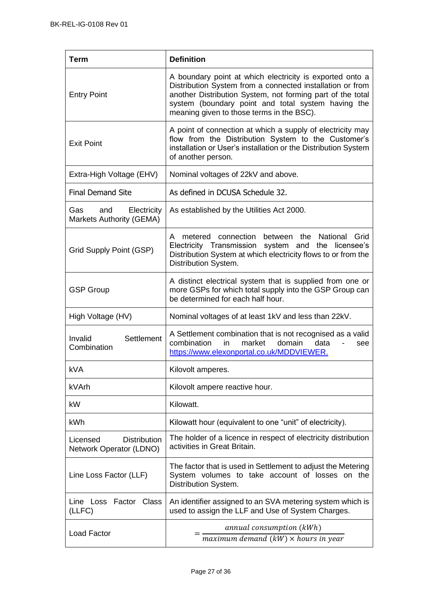| <b>Term</b>                                                | <b>Definition</b>                                                                                                                                                                                                                                                                      |
|------------------------------------------------------------|----------------------------------------------------------------------------------------------------------------------------------------------------------------------------------------------------------------------------------------------------------------------------------------|
| <b>Entry Point</b>                                         | A boundary point at which electricity is exported onto a<br>Distribution System from a connected installation or from<br>another Distribution System, not forming part of the total<br>system (boundary point and total system having the<br>meaning given to those terms in the BSC). |
| <b>Exit Point</b>                                          | A point of connection at which a supply of electricity may<br>flow from the Distribution System to the Customer's<br>installation or User's installation or the Distribution System<br>of another person.                                                                              |
| Extra-High Voltage (EHV)                                   | Nominal voltages of 22kV and above.                                                                                                                                                                                                                                                    |
| <b>Final Demand Site</b>                                   | As defined in DCUSA Schedule 32.                                                                                                                                                                                                                                                       |
| Gas<br>and<br>Electricity<br>Markets Authority (GEMA)      | As established by the Utilities Act 2000.                                                                                                                                                                                                                                              |
| Grid Supply Point (GSP)                                    | between the National Grid<br>metered connection<br>A<br>Electricity Transmission<br>system and the licensee's<br>Distribution System at which electricity flows to or from the<br>Distribution System.                                                                                 |
| <b>GSP Group</b>                                           | A distinct electrical system that is supplied from one or<br>more GSPs for which total supply into the GSP Group can<br>be determined for each half hour.                                                                                                                              |
| High Voltage (HV)                                          | Nominal voltages of at least 1kV and less than 22kV.                                                                                                                                                                                                                                   |
| Settlement<br>Invalid<br>Combination                       | A Settlement combination that is not recognised as a valid<br>combination<br>market<br>domain<br>in.<br>data<br>see<br>https://www.elexonportal.co.uk/MDDVIEWER.                                                                                                                       |
| <b>kVA</b>                                                 | Kilovolt amperes.                                                                                                                                                                                                                                                                      |
| kVArh                                                      | Kilovolt ampere reactive hour.                                                                                                                                                                                                                                                         |
| kW                                                         | Kilowatt.                                                                                                                                                                                                                                                                              |
| kWh                                                        | Kilowatt hour (equivalent to one "unit" of electricity).                                                                                                                                                                                                                               |
| <b>Distribution</b><br>Licensed<br>Network Operator (LDNO) | The holder of a licence in respect of electricity distribution<br>activities in Great Britain.                                                                                                                                                                                         |
| Line Loss Factor (LLF)                                     | The factor that is used in Settlement to adjust the Metering<br>System volumes to take account of losses on the<br>Distribution System.                                                                                                                                                |
| Line Loss Factor Class<br>(LLFC)                           | An identifier assigned to an SVA metering system which is<br>used to assign the LLF and Use of System Charges.                                                                                                                                                                         |
| <b>Load Factor</b>                                         | annual consumption (kWh)<br>$maximum\ demand\ (kW) \times hours\ in\ year$                                                                                                                                                                                                             |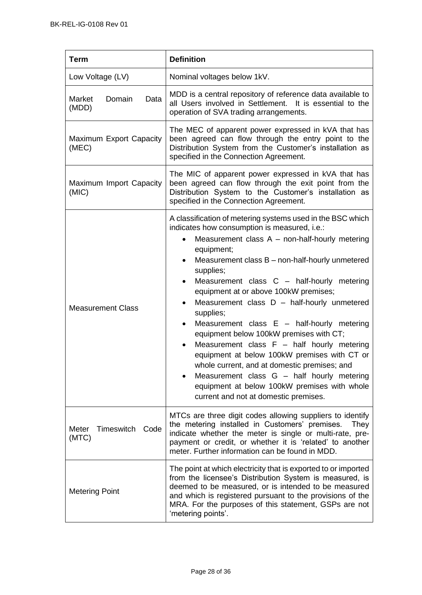| <b>Term</b>                       | <b>Definition</b>                                                                                                                                                                                                                                                                                                                                                                                                                                                                                                                                                                                                                                                                                                                                                                          |
|-----------------------------------|--------------------------------------------------------------------------------------------------------------------------------------------------------------------------------------------------------------------------------------------------------------------------------------------------------------------------------------------------------------------------------------------------------------------------------------------------------------------------------------------------------------------------------------------------------------------------------------------------------------------------------------------------------------------------------------------------------------------------------------------------------------------------------------------|
| Low Voltage (LV)                  | Nominal voltages below 1kV.                                                                                                                                                                                                                                                                                                                                                                                                                                                                                                                                                                                                                                                                                                                                                                |
| Domain<br>Market<br>Data<br>(MDD) | MDD is a central repository of reference data available to<br>all Users involved in Settlement. It is essential to the<br>operation of SVA trading arrangements.                                                                                                                                                                                                                                                                                                                                                                                                                                                                                                                                                                                                                           |
| Maximum Export Capacity<br>(MEC)  | The MEC of apparent power expressed in kVA that has<br>been agreed can flow through the entry point to the<br>Distribution System from the Customer's installation as<br>specified in the Connection Agreement.                                                                                                                                                                                                                                                                                                                                                                                                                                                                                                                                                                            |
| Maximum Import Capacity<br>(MIC)  | The MIC of apparent power expressed in kVA that has<br>been agreed can flow through the exit point from the<br>Distribution System to the Customer's installation as<br>specified in the Connection Agreement.                                                                                                                                                                                                                                                                                                                                                                                                                                                                                                                                                                             |
| <b>Measurement Class</b>          | A classification of metering systems used in the BSC which<br>indicates how consumption is measured, i.e.:<br>Measurement class $A$ – non-half-hourly metering<br>equipment;<br>Measurement class B – non-half-hourly unmetered<br>supplies;<br>Measurement class C - half-hourly metering<br>equipment at or above 100kW premises;<br>Measurement class $D -$ half-hourly unmetered<br>supplies;<br>Measurement class $E -$ half-hourly metering<br>equipment below 100kW premises with CT;<br>Measurement class $F - \text{half}$ hourly metering<br>equipment at below 100kW premises with CT or<br>whole current, and at domestic premises; and<br>Measurement class G - half hourly metering<br>equipment at below 100kW premises with whole<br>current and not at domestic premises. |
| Timeswitch Code<br>Meter<br>(MTC) | MTCs are three digit codes allowing suppliers to identify<br>the metering installed in Customers' premises.<br>They<br>indicate whether the meter is single or multi-rate, pre-<br>payment or credit, or whether it is 'related' to another<br>meter. Further information can be found in MDD.                                                                                                                                                                                                                                                                                                                                                                                                                                                                                             |
| <b>Metering Point</b>             | The point at which electricity that is exported to or imported<br>from the licensee's Distribution System is measured, is<br>deemed to be measured, or is intended to be measured<br>and which is registered pursuant to the provisions of the<br>MRA. For the purposes of this statement, GSPs are not<br>'metering points'.                                                                                                                                                                                                                                                                                                                                                                                                                                                              |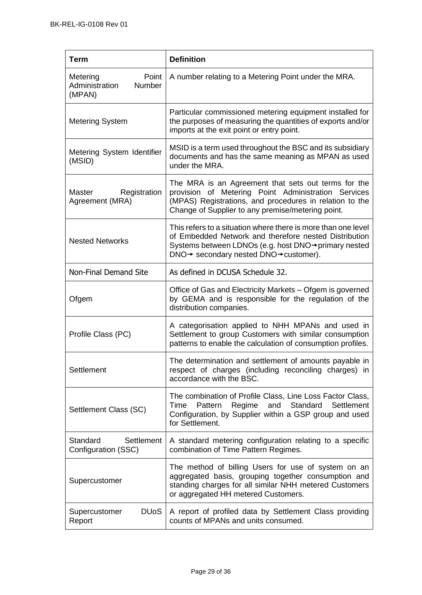| <b>Term</b>                                             | <b>Definition</b>                                                                                                                                                                                                          |
|---------------------------------------------------------|----------------------------------------------------------------------------------------------------------------------------------------------------------------------------------------------------------------------------|
| Metering<br>Point<br>Administration<br>Number<br>(MPAN) | A number relating to a Metering Point under the MRA.                                                                                                                                                                       |
| <b>Metering System</b>                                  | Particular commissioned metering equipment installed for<br>the purposes of measuring the quantities of exports and/or<br>imports at the exit point or entry point.                                                        |
| Metering System Identifier<br>(MSID)                    | MSID is a term used throughout the BSC and its subsidiary<br>documents and has the same meaning as MPAN as used<br>under the MRA.                                                                                          |
| Registration<br>Master<br>Agreement (MRA)               | The MRA is an Agreement that sets out terms for the<br>provision of Metering Point Administration Services<br>(MPAS) Registrations, and procedures in relation to the<br>Change of Supplier to any premise/metering point. |
| <b>Nested Networks</b>                                  | This refers to a situation where there is more than one level<br>of Embedded Network and therefore nested Distribution<br>Systems between LDNOs (e.g. host DNO→primary nested<br>DNO→ secondary nested DNO→customer).      |
| <b>Non-Final Demand Site</b>                            | As defined in DCUSA Schedule 32.                                                                                                                                                                                           |
| Ofgem                                                   | Office of Gas and Electricity Markets - Ofgem is governed<br>by GEMA and is responsible for the regulation of the<br>distribution companies.                                                                               |
| Profile Class (PC)                                      | A categorisation applied to NHH MPANs and used in<br>Settlement to group Customers with similar consumption<br>patterns to enable the calculation of consumption profiles.                                                 |
| Settlement                                              | The determination and settlement of amounts payable in<br>respect of charges (including reconciling charges) in<br>accordance with the BSC.                                                                                |
| Settlement Class (SC)                                   | The combination of Profile Class, Line Loss Factor Class,<br>Standard<br>Time<br>Pattern<br>Regime<br>and<br>Settlement<br>Configuration, by Supplier within a GSP group and used<br>for Settlement.                       |
| Standard<br>Settlement<br>Configuration (SSC)           | A standard metering configuration relating to a specific<br>combination of Time Pattern Regimes.                                                                                                                           |
| Supercustomer                                           | The method of billing Users for use of system on an<br>aggregated basis, grouping together consumption and<br>standing charges for all similar NHH metered Customers<br>or aggregated HH metered Customers.                |
| <b>DU<sub>o</sub>S</b><br>Supercustomer<br>Report       | A report of profiled data by Settlement Class providing<br>counts of MPANs and units consumed.                                                                                                                             |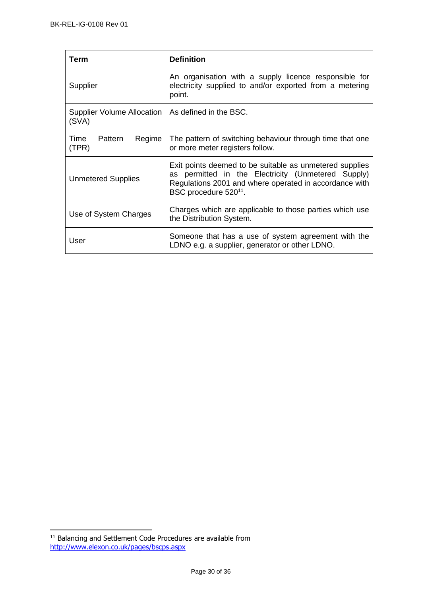| Term                                                         | <b>Definition</b>                                                                                                                                                                                            |
|--------------------------------------------------------------|--------------------------------------------------------------------------------------------------------------------------------------------------------------------------------------------------------------|
| Supplier                                                     | An organisation with a supply licence responsible for<br>electricity supplied to and/or exported from a metering<br>point.                                                                                   |
| Supplier Volume Allocation   As defined in the BSC.<br>(SVA) |                                                                                                                                                                                                              |
| Time<br>Pattern<br>Regime<br>(TPR)                           | The pattern of switching behaviour through time that one<br>or more meter registers follow.                                                                                                                  |
| <b>Unmetered Supplies</b>                                    | Exit points deemed to be suitable as unmetered supplies<br>as permitted in the Electricity (Unmetered Supply)<br>Regulations 2001 and where operated in accordance with<br>BSC procedure 520 <sup>11</sup> . |
| Use of System Charges                                        | Charges which are applicable to those parties which use<br>the Distribution System.                                                                                                                          |
| User                                                         | Someone that has a use of system agreement with the<br>LDNO e.g. a supplier, generator or other LDNO.                                                                                                        |

 $11$  Balancing and Settlement Code Procedures are available from <http://www.elexon.co.uk/pages/bscps.aspx>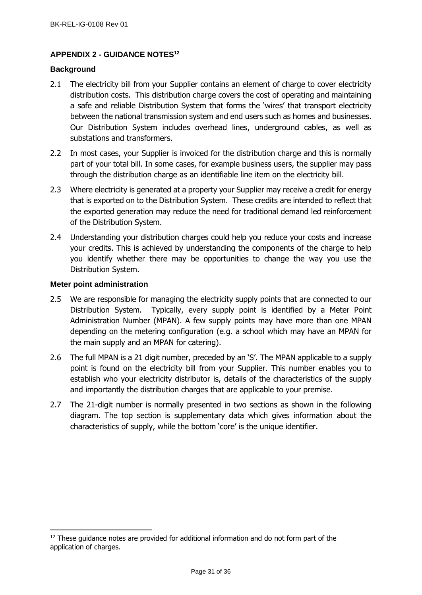## <span id="page-30-0"></span>**APPENDIX 2 - GUIDANCE NOTES<sup>12</sup>**

#### <span id="page-30-1"></span>**Background**

- 2.1 The electricity bill from your Supplier contains an element of charge to cover electricity distribution costs. This distribution charge covers the cost of operating and maintaining a safe and reliable Distribution System that forms the 'wires' that transport electricity between the national transmission system and end users such as homes and businesses. Our Distribution System includes overhead lines, underground cables, as well as substations and transformers.
- 2.2 In most cases, your Supplier is invoiced for the distribution charge and this is normally part of your total bill. In some cases, for example business users, the supplier may pass through the distribution charge as an identifiable line item on the electricity bill.
- 2.3 Where electricity is generated at a property your Supplier may receive a credit for energy that is exported on to the Distribution System. These credits are intended to reflect that the exported generation may reduce the need for traditional demand led reinforcement of the Distribution System.
- 2.4 Understanding your distribution charges could help you reduce your costs and increase your credits. This is achieved by understanding the components of the charge to help you identify whether there may be opportunities to change the way you use the Distribution System.

#### <span id="page-30-2"></span>**Meter point administration**

- 2.5 We are responsible for managing the electricity supply points that are connected to our Distribution System. Typically, every supply point is identified by a Meter Point Administration Number (MPAN). A few supply points may have more than one MPAN depending on the metering configuration (e.g. a school which may have an MPAN for the main supply and an MPAN for catering).
- 2.6 The full MPAN is a 21 digit number, preceded by an 'S'. The MPAN applicable to a supply point is found on the electricity bill from your Supplier. This number enables you to establish who your electricity distributor is, details of the characteristics of the supply and importantly the distribution charges that are applicable to your premise.
- 2.7 The 21-digit number is normally presented in two sections as shown in the following diagram. The top section is supplementary data which gives information about the characteristics of supply, while the bottom 'core' is the unique identifier.

 $12$  These guidance notes are provided for additional information and do not form part of the application of charges.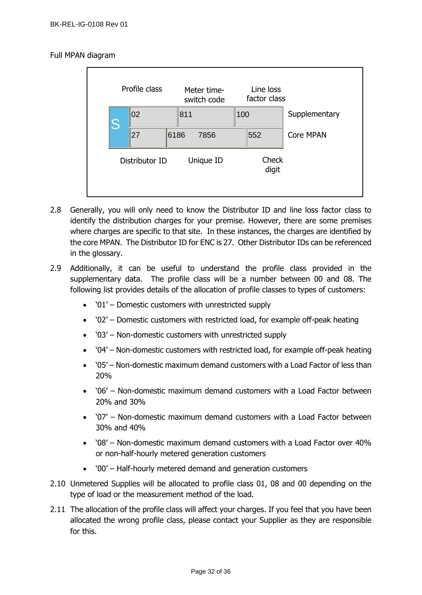## Full MPAN diagram



- 2.8 Generally, you will only need to know the Distributor ID and line loss factor class to identify the distribution charges for your premise. However, there are some premises where charges are specific to that site. In these instances, the charges are identified by the core MPAN. The Distributor ID for ENC is 27. Other Distributor IDs can be referenced in the glossary.
- 2.9 Additionally, it can be useful to understand the profile class provided in the supplementary data. The profile class will be a number between 00 and 08. The following list provides details of the allocation of profile classes to types of customers:
	- '01' Domestic customers with unrestricted supply
	- '02' Domestic customers with restricted load, for example off-peak heating
	- '03' Non-domestic customers with unrestricted supply
	- '04' Non-domestic customers with restricted load, for example off-peak heating
	- '05' Non-domestic maximum demand customers with a Load Factor of less than 20%
	- '06' Non-domestic maximum demand customers with a Load Factor between 20% and 30%
	- '07' Non-domestic maximum demand customers with a Load Factor between 30% and 40%
	- '08' Non-domestic maximum demand customers with a Load Factor over 40% or non-half-hourly metered generation customers
	- '00' Half-hourly metered demand and generation customers
- 2.10 Unmetered Supplies will be allocated to profile class 01, 08 and 00 depending on the type of load or the measurement method of the load.
- 2.11 The allocation of the profile class will affect your charges. If you feel that you have been allocated the wrong profile class, please contact your Supplier as they are responsible for this.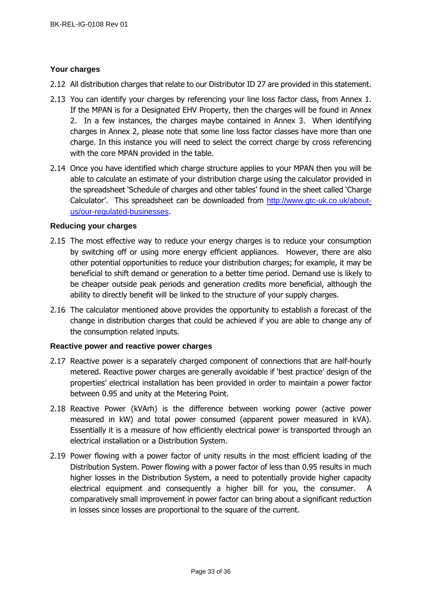## <span id="page-32-0"></span>**Your charges**

- 2.12 All distribution charges that relate to our Distributor ID 27 are provided in this statement.
- 2.13 You can identify your charges by referencing your line loss factor class, from Annex 1. If the MPAN is for a Designated EHV Property, then the charges will be found in Annex 2. In a few instances, the charges maybe contained in Annex 3. When identifying charges in Annex 2, please note that some line loss factor classes have more than one charge. In this instance you will need to select the correct charge by cross referencing with the core MPAN provided in the table.
- 2.14 Once you have identified which charge structure applies to your MPAN then you will be able to calculate an estimate of your distribution charge using the calculator provided in the spreadsheet 'Schedule of charges and other tables' found in the sheet called 'Charge Calculator'. This spreadsheet can be downloaded from [http://www.gtc-uk.co.uk/about](http://www.gtc-uk.co.uk/about-us/our-regulated-businesses)[us/our-regulated-businesses](http://www.gtc-uk.co.uk/about-us/our-regulated-businesses).

### <span id="page-32-1"></span>**Reducing your charges**

- 2.15 The most effective way to reduce your energy charges is to reduce your consumption by switching off or using more energy efficient appliances. However, there are also other potential opportunities to reduce your distribution charges; for example, it may be beneficial to shift demand or generation to a better time period. Demand use is likely to be cheaper outside peak periods and generation credits more beneficial, although the ability to directly benefit will be linked to the structure of your supply charges.
- 2.16 The calculator mentioned above provides the opportunity to establish a forecast of the change in distribution charges that could be achieved if you are able to change any of the consumption related inputs.

### <span id="page-32-2"></span>**Reactive power and reactive power charges**

- 2.17 Reactive power is a separately charged component of connections that are half-hourly metered. Reactive power charges are generally avoidable if 'best practice' design of the properties' electrical installation has been provided in order to maintain a power factor between 0.95 and unity at the Metering Point.
- 2.18 Reactive Power (kVArh) is the difference between working power (active power measured in kW) and total power consumed (apparent power measured in kVA). Essentially it is a measure of how efficiently electrical power is transported through an electrical installation or a Distribution System.
- 2.19 Power flowing with a power factor of unity results in the most efficient loading of the Distribution System. Power flowing with a power factor of less than 0.95 results in much higher losses in the Distribution System, a need to potentially provide higher capacity electrical equipment and consequently a higher bill for you, the consumer. A comparatively small improvement in power factor can bring about a significant reduction in losses since losses are proportional to the square of the current.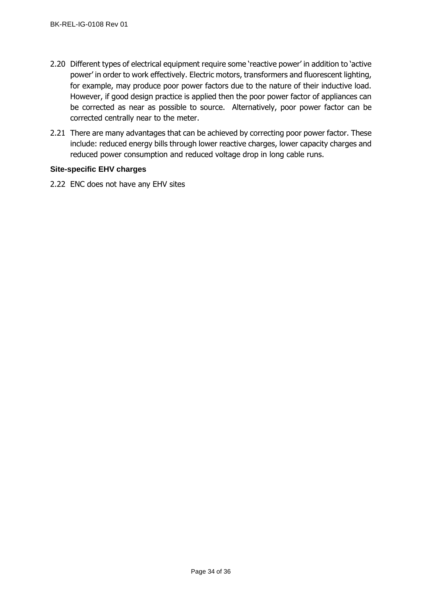- 2.20 Different types of electrical equipment require some 'reactive power' in addition to 'active power' in order to work effectively. Electric motors, transformers and fluorescent lighting, for example, may produce poor power factors due to the nature of their inductive load. However, if good design practice is applied then the poor power factor of appliances can be corrected as near as possible to source. Alternatively, poor power factor can be corrected centrally near to the meter.
- 2.21 There are many advantages that can be achieved by correcting poor power factor. These include: reduced energy bills through lower reactive charges, lower capacity charges and reduced power consumption and reduced voltage drop in long cable runs.

### <span id="page-33-0"></span>**Site-specific EHV charges**

2.22 ENC does not have any EHV sites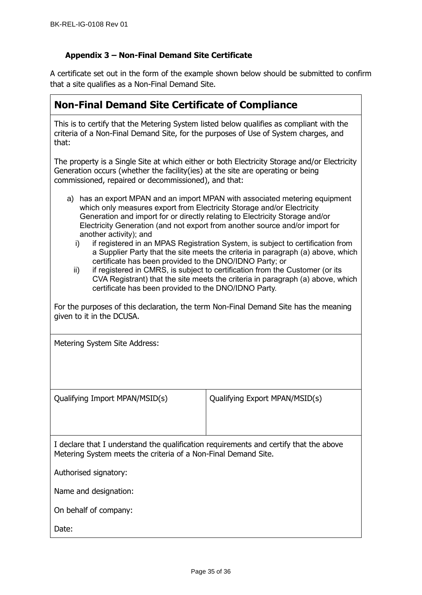## **Appendix 3 – Non-Final Demand Site Certificate**

A certificate set out in the form of the example shown below should be submitted to confirm that a site qualifies as a Non-Final Demand Site.

| <b>Non-Final Demand Site Certificate of Compliance</b>                                                                                                                                                                                                                                                                                                                                                                                                                                                                                                                                |  |
|---------------------------------------------------------------------------------------------------------------------------------------------------------------------------------------------------------------------------------------------------------------------------------------------------------------------------------------------------------------------------------------------------------------------------------------------------------------------------------------------------------------------------------------------------------------------------------------|--|
| This is to certify that the Metering System listed below qualifies as compliant with the<br>criteria of a Non-Final Demand Site, for the purposes of Use of System charges, and<br>that:                                                                                                                                                                                                                                                                                                                                                                                              |  |
| The property is a Single Site at which either or both Electricity Storage and/or Electricity<br>Generation occurs (whether the facility (ies) at the site are operating or being<br>commissioned, repaired or decommissioned), and that:                                                                                                                                                                                                                                                                                                                                              |  |
| a) has an export MPAN and an import MPAN with associated metering equipment<br>which only measures export from Electricity Storage and/or Electricity<br>Generation and import for or directly relating to Electricity Storage and/or<br>Electricity Generation (and not export from another source and/or import for<br>another activity); and<br>if registered in an MPAS Registration System, is subject to certification from<br>i)<br>a Supplier Party that the site meets the criteria in paragraph (a) above, which<br>certificate has been provided to the DNO/IDNO Party; or |  |

ii) if registered in CMRS, is subject to certification from the Customer (or its CVA Registrant) that the site meets the criteria in paragraph (a) above, which certificate has been provided to the DNO/IDNO Party.

For the purposes of this declaration, the term Non-Final Demand Site has the meaning given to it in the DCUSA.

Metering System Site Address:

Qualifying Import MPAN/MSID(s) Qualifying Export MPAN/MSID(s)

I declare that I understand the qualification requirements and certify that the above Metering System meets the criteria of a Non-Final Demand Site.

Authorised signatory:

Name and designation:

On behalf of company:

Date: